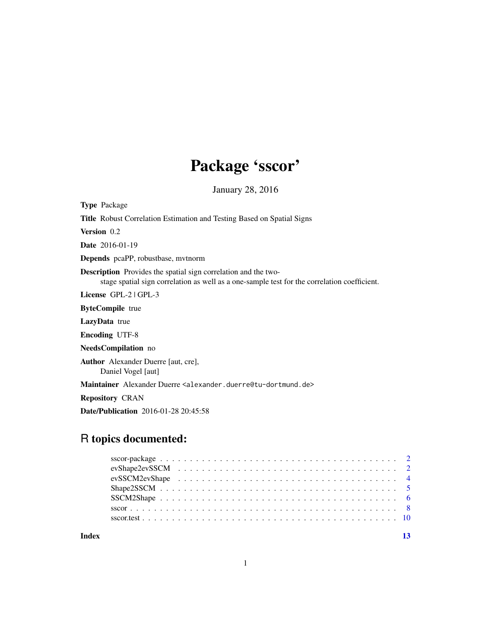# Package 'sscor'

January 28, 2016

<span id="page-0-0"></span>Type Package

| <b>Title</b> Robust Correlation Estimation and Testing Based on Spatial Signs                                                                                         |
|-----------------------------------------------------------------------------------------------------------------------------------------------------------------------|
| <b>Version</b> 0.2                                                                                                                                                    |
| <b>Date</b> 2016-01-19                                                                                                                                                |
| <b>Depends</b> pcaPP, robustbase, mythorm                                                                                                                             |
| <b>Description</b> Provides the spatial sign correlation and the two-<br>stage spatial sign correlation as well as a one-sample test for the correlation coefficient. |
| License GPL-2   GPL-3                                                                                                                                                 |
| <b>ByteCompile</b> true                                                                                                                                               |
| <b>LazyData</b> true                                                                                                                                                  |
| <b>Encoding UTF-8</b>                                                                                                                                                 |
| NeedsCompilation no                                                                                                                                                   |
| <b>Author</b> Alexander Duerre [aut, cre],<br>Daniel Vogel [aut]                                                                                                      |
| Maintainer Alexander Duerre <alexander.duerre@tu-dortmund.de></alexander.duerre@tu-dortmund.de>                                                                       |
| <b>Repository CRAN</b>                                                                                                                                                |
| <b>Date/Publication</b> 2016-01-28 20:45:58                                                                                                                           |

# R topics documented:

**Index** [13](#page-12-0)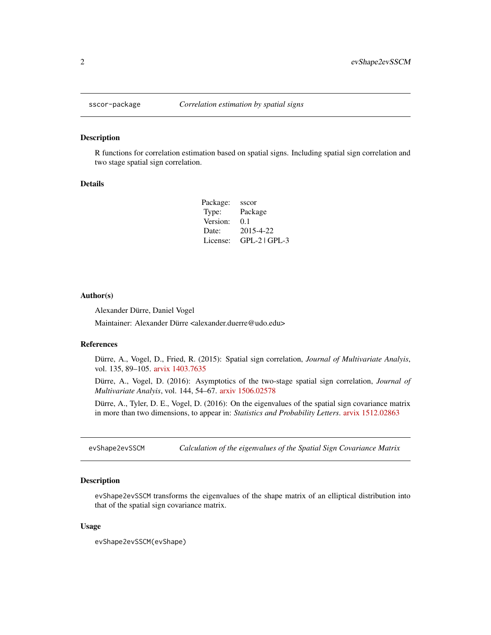<span id="page-1-0"></span>

#### Description

R functions for correlation estimation based on spatial signs. Including spatial sign correlation and two stage spatial sign correlation.

#### Details

| Package: | sscor           |
|----------|-----------------|
| Type:    | Package         |
| Version: | 0.1             |
| Date:    | 2015-4-22       |
| License: | $GPL-2$ $GPL-3$ |

#### Author(s)

Alexander Dürre, Daniel Vogel

Maintainer: Alexander Dürre <alexander.duerre@udo.edu>

#### References

Dürre, A., Vogel, D., Fried, R. (2015): Spatial sign correlation, *Journal of Multivariate Analyis*, vol. 135, 89–105. [arvix 1403.7635](http://arxiv.org/abs/1403.7635)

Dürre, A., Vogel, D. (2016): Asymptotics of the two-stage spatial sign correlation, *Journal of Multivariate Analyis*, vol. 144, 54–67. [arxiv 1506.02578](http://arxiv.org/abs/1506.02578)

Dürre, A., Tyler, D. E., Vogel, D. (2016): On the eigenvalues of the spatial sign covariance matrix in more than two dimensions, to appear in: *Statistics and Probability Letters*. [arvix 1512.02863](http://arxiv.org/abs/1512.02863)

<span id="page-1-1"></span>evShape2evSSCM *Calculation of the eigenvalues of the Spatial Sign Covariance Matrix*

# Description

evShape2evSSCM transforms the eigenvalues of the shape matrix of an elliptical distribution into that of the spatial sign covariance matrix.

#### Usage

evShape2evSSCM(evShape)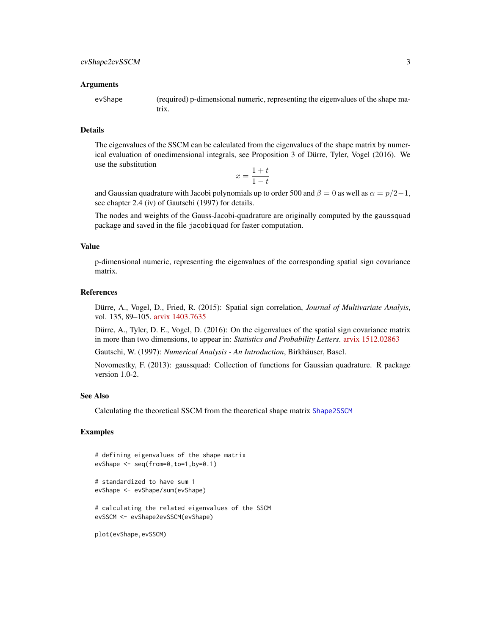#### <span id="page-2-0"></span>Arguments

evShape (required) p-dimensional numeric, representing the eigenvalues of the shape matrix.

#### Details

The eigenvalues of the SSCM can be calculated from the eigenvalues of the shape matrix by numerical evaluation of onedimensional integrals, see Proposition 3 of Dürre, Tyler, Vogel (2016). We use the substitution

$$
x = \frac{1+t}{1-t}
$$

and Gaussian quadrature with Jacobi polynomials up to order 500 and  $\beta = 0$  as well as  $\alpha = p/2-1$ , see chapter 2.4 (iv) of Gautschi (1997) for details.

The nodes and weights of the Gauss-Jacobi-quadrature are originally computed by the gaussquad package and saved in the file jacobiquad for faster computation.

### Value

p-dimensional numeric, representing the eigenvalues of the corresponding spatial sign covariance matrix.

### References

Dürre, A., Vogel, D., Fried, R. (2015): Spatial sign correlation, *Journal of Multivariate Analyis*, vol. 135, 89–105. [arvix 1403.7635](http://arxiv.org/abs/1403.7635)

Dürre, A., Tyler, D. E., Vogel, D. (2016): On the eigenvalues of the spatial sign covariance matrix in more than two dimensions, to appear in: *Statistics and Probability Letters*. [arvix 1512.02863](http://arxiv.org/abs/1512.02863)

Gautschi, W. (1997): *Numerical Analysis - An Introduction*, Birkhäuser, Basel.

Novomestky, F. (2013): gaussquad: Collection of functions for Gaussian quadrature. R package version 1.0-2.

#### See Also

Calculating the theoretical SSCM from the theoretical shape matrix [Shape2SSCM](#page-4-1)

#### Examples

```
# defining eigenvalues of the shape matrix
evShape <- seq(from=0,to=1,by=0.1)
# standardized to have sum 1
evShape <- evShape/sum(evShape)
# calculating the related eigenvalues of the SSCM
evSSCM <- evShape2evSSCM(evShape)
plot(evShape,evSSCM)
```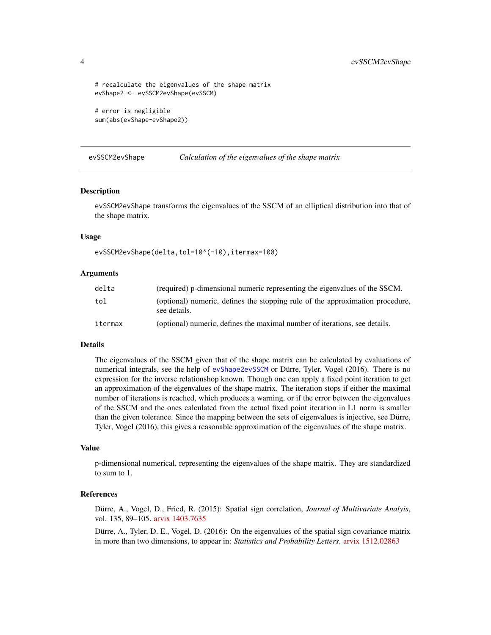```
# recalculate the eigenvalues of the shape matrix
evShape2 <- evSSCM2evShape(evSSCM)
# error is negligible
sum(abs(evShape-evShape2))
```
<span id="page-3-1"></span>evSSCM2evShape *Calculation of the eigenvalues of the shape matrix*

#### Description

evSSCM2evShape transforms the eigenvalues of the SSCM of an elliptical distribution into that of the shape matrix.

#### Usage

evSSCM2evShape(delta,tol=10^(-10),itermax=100)

#### Arguments

| delta   | (required) p-dimensional numeric representing the eigenvalues of the SSCM.                    |
|---------|-----------------------------------------------------------------------------------------------|
| tol     | (optional) numeric, defines the stopping rule of the approximation procedure,<br>see details. |
| itermax | (optional) numeric, defines the maximal number of iterations, see details.                    |

#### Details

The eigenvalues of the SSCM given that of the shape matrix can be calculated by evaluations of numerical integrals, see the help of [evShape2evSSCM](#page-1-1) or Dürre, Tyler, Vogel (2016). There is no expression for the inverse relationshop known. Though one can apply a fixed point iteration to get an approximation of the eigenvalues of the shape matrix. The iteration stops if either the maximal number of iterations is reached, which produces a warning, or if the error between the eigenvalues of the SSCM and the ones calculated from the actual fixed point iteration in L1 norm is smaller than the given tolerance. Since the mapping between the sets of eigenvalues is injective, see Dürre, Tyler, Vogel (2016), this gives a reasonable approximation of the eigenvalues of the shape matrix.

#### Value

p-dimensional numerical, representing the eigenvalues of the shape matrix. They are standardized to sum to 1.

# References

Dürre, A., Vogel, D., Fried, R. (2015): Spatial sign correlation, *Journal of Multivariate Analyis*, vol. 135, 89–105. [arvix 1403.7635](http://arxiv.org/abs/1403.7635)

Dürre, A., Tyler, D. E., Vogel, D. (2016): On the eigenvalues of the spatial sign covariance matrix in more than two dimensions, to appear in: *Statistics and Probability Letters*. [arvix 1512.02863](http://arxiv.org/abs/1512.02863)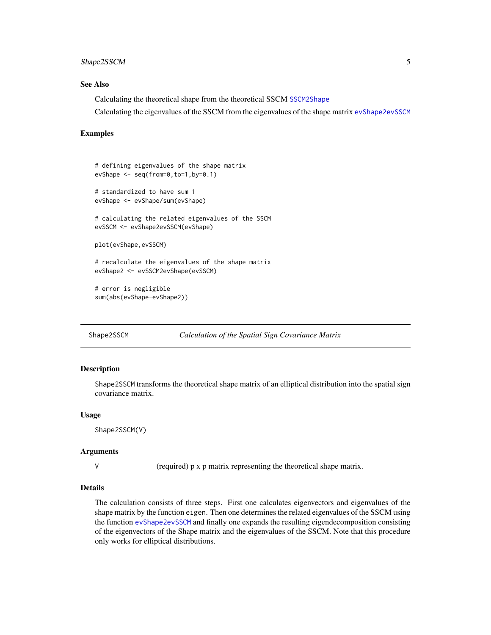### <span id="page-4-0"></span>Shape2SSCM 5

#### See Also

Calculating the theoretical shape from the theoretical SSCM [SSCM2Shape](#page-5-1)

Calculating the eigenvalues of the SSCM from the eigenvalues of the shape matrix [evShape2evSSCM](#page-1-1)

#### Examples

```
# defining eigenvalues of the shape matrix
evShape <- seq(from=0,to=1,by=0.1)
# standardized to have sum 1
evShape <- evShape/sum(evShape)
# calculating the related eigenvalues of the SSCM
evSSCM <- evShape2evSSCM(evShape)
plot(evShape,evSSCM)
# recalculate the eigenvalues of the shape matrix
evShape2 <- evSSCM2evShape(evSSCM)
# error is negligible
sum(abs(evShape-evShape2))
```
<span id="page-4-1"></span>

#### Shape2SSCM *Calculation of the Spatial Sign Covariance Matrix*

#### Description

Shape2SSCM transforms the theoretical shape matrix of an elliptical distribution into the spatial sign covariance matrix.

#### Usage

Shape2SSCM(V)

#### Arguments

V (required) p x p matrix representing the theoretical shape matrix.

#### Details

The calculation consists of three steps. First one calculates eigenvectors and eigenvalues of the shape matrix by the function eigen. Then one determines the related eigenvalues of the SSCM using the function [evShape2evSSCM](#page-1-1) and finally one expands the resulting eigendecomposition consisting of the eigenvectors of the Shape matrix and the eigenvalues of the SSCM. Note that this procedure only works for elliptical distributions.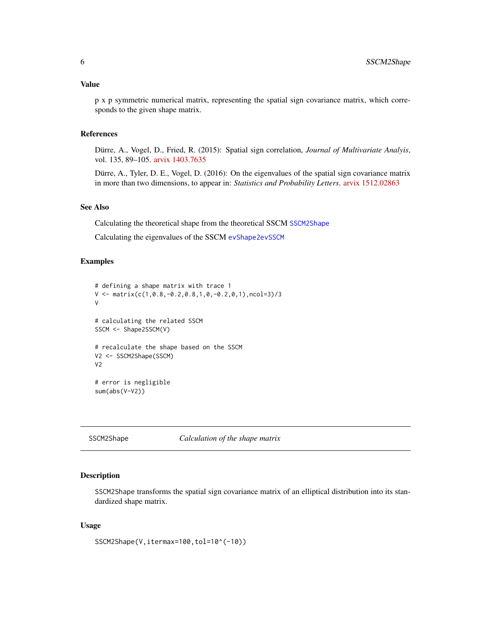<span id="page-5-0"></span>p x p symmetric numerical matrix, representing the spatial sign covariance matrix, which corresponds to the given shape matrix.

### References

Dürre, A., Vogel, D., Fried, R. (2015): Spatial sign correlation, *Journal of Multivariate Analyis*, vol. 135, 89–105. [arvix 1403.7635](http://arxiv.org/abs/1403.7635)

Dürre, A., Tyler, D. E., Vogel, D. (2016): On the eigenvalues of the spatial sign covariance matrix in more than two dimensions, to appear in: *Statistics and Probability Letters*. [arvix 1512.02863](http://arxiv.org/abs/1512.02863)

#### See Also

Calculating the theoretical shape from the theoretical SSCM [SSCM2Shape](#page-5-1)

Calculating the eigenvalues of the SSCM [evShape2evSSCM](#page-1-1)

#### Examples

```
# defining a shape matrix with trace 1
V \leq -\text{matrix}(c(1, 0.8, -0.2, 0.8, 1, 0, -0.2, 0, 1), \text{ncol=3})/3V
# calculating the related SSCM
SSCM <- Shape2SSCM(V)
# recalculate the shape based on the SSCM
V2 <- SSCM2Shape(SSCM)
V<sub>2</sub># error is negligible
sum(abs(V-V2))
```

```
SSCM2Shape Calculation of the shape matrix
```
# Description

SSCM2Shape transforms the spatial sign covariance matrix of an elliptical distribution into its standardized shape matrix.

#### Usage

SSCM2Shape(V,itermax=100,tol=10^(-10))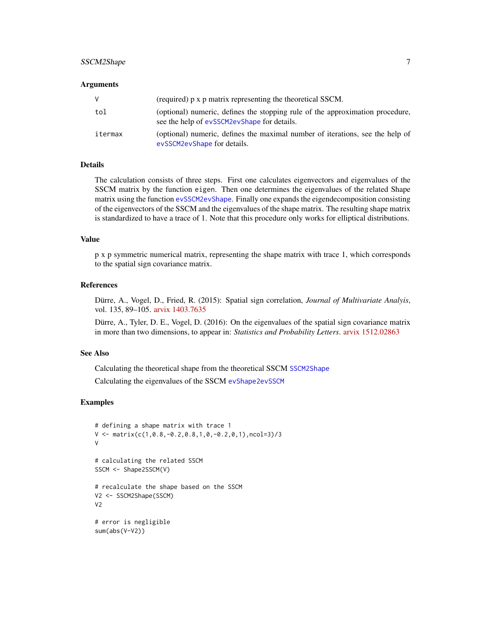# <span id="page-6-0"></span>SSCM2Shape 7

#### Arguments

| V       | (required) p x p matrix representing the theoretical SSCM.                                                                   |
|---------|------------------------------------------------------------------------------------------------------------------------------|
| tol     | (optional) numeric, defines the stopping rule of the approximation procedure,<br>see the help of evSSCM2evShape for details. |
| itermax | (optional) numeric, defines the maximal number of iterations, see the help of<br>evSSCM2evShape for details.                 |

#### Details

The calculation consists of three steps. First one calculates eigenvectors and eigenvalues of the SSCM matrix by the function eigen. Then one determines the eigenvalues of the related Shape matrix using the function [evSSCM2evShape](#page-3-1). Finally one expands the eigendecomposition consisting of the eigenvectors of the SSCM and the eigenvalues of the shape matrix. The resulting shape matrix is standardized to have a trace of 1. Note that this procedure only works for elliptical distributions.

#### Value

p x p symmetric numerical matrix, representing the shape matrix with trace 1, which corresponds to the spatial sign covariance matrix.

#### References

Dürre, A., Vogel, D., Fried, R. (2015): Spatial sign correlation, *Journal of Multivariate Analyis*, vol. 135, 89–105. [arvix 1403.7635](http://arxiv.org/abs/1403.7635)

Dürre, A., Tyler, D. E., Vogel, D. (2016): On the eigenvalues of the spatial sign covariance matrix in more than two dimensions, to appear in: *Statistics and Probability Letters*. [arvix 1512.02863](http://arxiv.org/abs/1512.02863)

#### See Also

Calculating the theoretical shape from the theoretical SSCM [SSCM2Shape](#page-5-1) Calculating the eigenvalues of the SSCM [evShape2evSSCM](#page-1-1)

#### Examples

```
# defining a shape matrix with trace 1
V \leq -\text{matrix}(c(1, 0.8, -0.2, 0.8, 1, 0, -0.2, 0, 1), \text{ncol=3})/3V
# calculating the related SSCM
SSCM <- Shape2SSCM(V)
# recalculate the shape based on the SSCM
V2 <- SSCM2Shape(SSCM)
V2
# error is negligible
sum(abs(V-V2))
```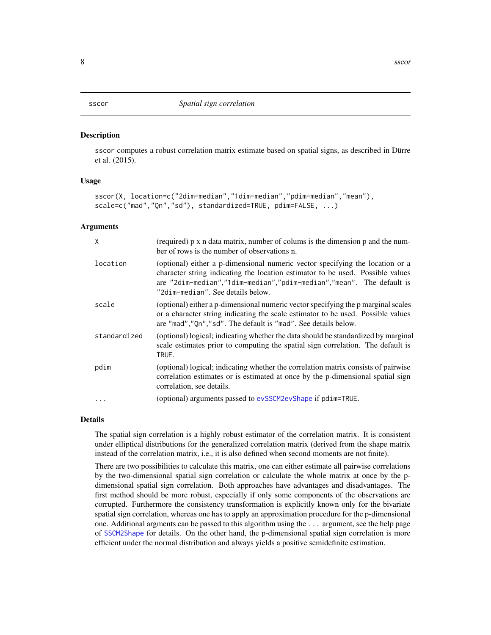<span id="page-7-1"></span><span id="page-7-0"></span>

#### Description

sscor computes a robust correlation matrix estimate based on spatial signs, as described in Dürre et al. (2015).

#### Usage

```
sscor(X, location=c("2dim-median","1dim-median","pdim-median","mean"),
scale=c("mad","Qn","sd"), standardized=TRUE, pdim=FALSE, ...)
```
#### Arguments

| X            | (required) p x n data matrix, number of colums is the dimension p and the num-<br>ber of rows is the number of observations n.                                                                                                                                               |
|--------------|------------------------------------------------------------------------------------------------------------------------------------------------------------------------------------------------------------------------------------------------------------------------------|
| location     | (optional) either a p-dimensional numeric vector specifying the location or a<br>character string indicating the location estimator to be used. Possible values<br>are "2dim-median","1dim-median","pdim-median","mean". The default is<br>"2dim-median". See details below. |
| scale        | (optional) either a p-dimensional numeric vector specifying the p marginal scales<br>or a character string indicating the scale estimator to be used. Possible values<br>are "mad", "Qn", "sd". The default is "mad". See details below.                                     |
| standardized | (optional) logical; indicating whether the data should be standardized by marginal<br>scale estimates prior to computing the spatial sign correlation. The default is<br>TRUE.                                                                                               |
| pdim         | (optional) logical; indicating whether the correlation matrix consists of pairwise<br>correlation estimates or is estimated at once by the p-dimensional spatial sign<br>correlation, see details.                                                                           |
| $\ddots$ .   | (optional) arguments passed to evSSCM2evShape if pdim=TRUE.                                                                                                                                                                                                                  |

#### Details

The spatial sign correlation is a highly robust estimator of the correlation matrix. It is consistent under elliptical distributions for the generalized correlation matrix (derived from the shape matrix instead of the correlation matrix, i.e., it is also defined when second moments are not finite).

There are two possibilities to calculate this matrix, one can either estimate all pairwise correlations by the two-dimensional spatial sign correlation or calculate the whole matrix at once by the pdimensional spatial sign correlation. Both approaches have advantages and disadvantages. The first method should be more robust, especially if only some components of the observations are corrupted. Furthermore the consistency transformation is explicitly known only for the bivariate spatial sign correlation, whereas one has to apply an approximation procedure for the p-dimensional one. Additional argments can be passed to this algorithm using the ... argument, see the help page of [SSCM2Shape](#page-5-1) for details. On the other hand, the p-dimensional spatial sign correlation is more efficient under the normal distribution and always yields a positive semidefinite estimation.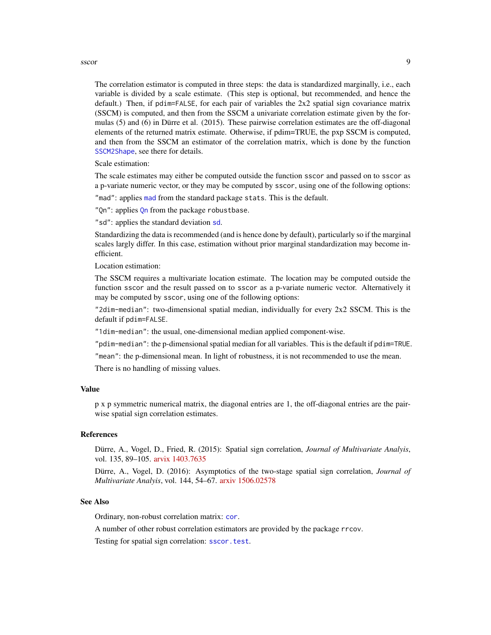#### <span id="page-8-0"></span>sscor 9

The correlation estimator is computed in three steps: the data is standardized marginally, i.e., each variable is divided by a scale estimate. (This step is optional, but recommended, and hence the default.) Then, if pdim=FALSE, for each pair of variables the 2x2 spatial sign covariance matrix (SSCM) is computed, and then from the SSCM a univariate correlation estimate given by the formulas (5) and (6) in Dürre et al. (2015). These pairwise correlation estimates are the off-diagonal elements of the returned matrix estimate. Otherwise, if pdim=TRUE, the pxp SSCM is computed, and then from the SSCM an estimator of the correlation matrix, which is done by the function [SSCM2Shape](#page-5-1), see there for details.

Scale estimation:

The scale estimates may either be computed outside the function sscor and passed on to sscor as a p-variate numeric vector, or they may be computed by sscor, using one of the following options:

"[mad](#page-0-0)": applies mad from the standard package stats. This is the default.

"[Qn](#page-0-0)": applies Qn from the package robustbase.

"sd": applies the standard deviation [sd](#page-0-0).

Standardizing the data is recommended (and is hence done by default), particularly so if the marginal scales largly differ. In this case, estimation without prior marginal standardization may become inefficient.

Location estimation:

The SSCM requires a multivariate location estimate. The location may be computed outside the function sscor and the result passed on to sscor as a p-variate numeric vector. Alternatively it may be computed by sscor, using one of the following options:

"2dim-median": two-dimensional spatial median, individually for every 2x2 SSCM. This is the default if pdim=FALSE.

"1dim-median": the usual, one-dimensional median applied component-wise.

"pdim-median": the p-dimensional spatial median for all variables. This is the default if pdim=TRUE.

"mean": the p-dimensional mean. In light of robustness, it is not recommended to use the mean.

There is no handling of missing values.

#### Value

p x p symmetric numerical matrix, the diagonal entries are 1, the off-diagonal entries are the pairwise spatial sign correlation estimates.

#### References

Dürre, A., Vogel, D., Fried, R. (2015): Spatial sign correlation, *Journal of Multivariate Analyis*, vol. 135, 89–105. [arvix 1403.7635](http://arxiv.org/abs/1403.7635)

Dürre, A., Vogel, D. (2016): Asymptotics of the two-stage spatial sign correlation, *Journal of Multivariate Analyis*, vol. 144, 54–67. [arxiv 1506.02578](http://arxiv.org/abs/1506.02578)

#### See Also

Ordinary, non-robust correlation matrix: [cor](#page-0-0).

A number of other robust correlation estimators are provided by the package rrcov.

Testing for spatial sign correlation: [sscor.test](#page-9-1).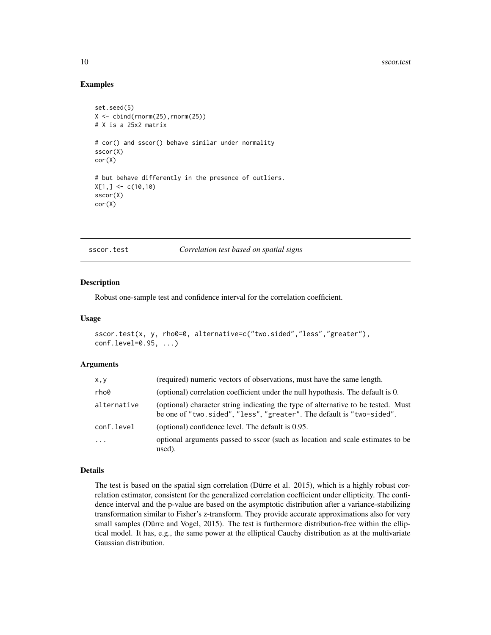### Examples

```
set.seed(5)
X \leftarrow \text{cbind}(\text{rnorm}(25), \text{rnorm}(25))# X is a 25x2 matrix
# cor() and sscor() behave similar under normality
sscor(X)
cor(X)
# but behave differently in the presence of outliers.
X[1, ] \leftarrow c(10, 10)sscor(X)
cor(X)
```
<span id="page-9-1"></span>sscor.test *Correlation test based on spatial signs*

#### Description

Robust one-sample test and confidence interval for the correlation coefficient.

#### Usage

```
sscor.test(x, y, rho0=0, alternative=c("two.sided","less","greater"),
conf.level=0.95, ...)
```
#### **Arguments**

| X, Y        | (required) numeric vectors of observations, must have the same length.                                                                                     |
|-------------|------------------------------------------------------------------------------------------------------------------------------------------------------------|
| rho0        | (optional) correlation coefficient under the null hypothesis. The default is 0.                                                                            |
| alternative | (optional) character string indicating the type of alternative to be tested. Must<br>be one of "two.sided", "less", "greater". The default is "two-sided". |
| conf.level  | (optional) confidence level. The default is 0.95.                                                                                                          |
| $\ddots$    | optional arguments passed to sscor (such as location and scale estimates to be<br>used).                                                                   |

#### Details

The test is based on the spatial sign correlation (Dürre et al. 2015), which is a highly robust correlation estimator, consistent for the generalized correlation coefficient under ellipticity. The confidence interval and the p-value are based on the asymptotic distribution after a variance-stabilizing transformation similar to Fisher's z-transform. They provide accurate approximations also for very small samples (Dürre and Vogel, 2015). The test is furthermore distribution-free within the elliptical model. It has, e.g., the same power at the elliptical Cauchy distribution as at the multivariate Gaussian distribution.

<span id="page-9-0"></span>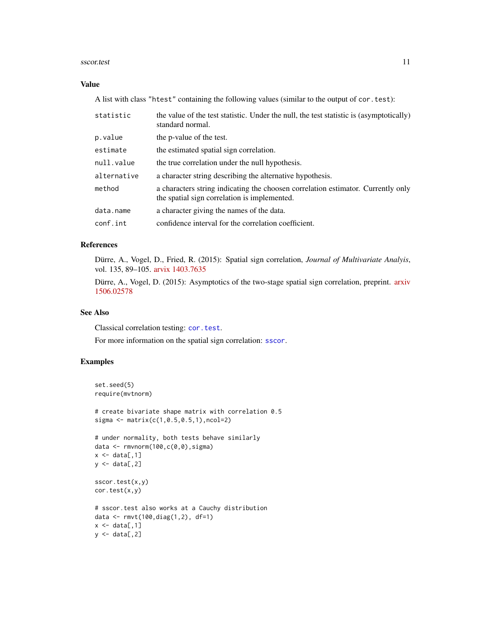#### <span id="page-10-0"></span>sscor.test 11

### Value

A list with class "htest" containing the following values (similar to the output of cor.test):

| statistic   | the value of the test statistic. Under the null, the test statistic is (asymptotically)<br>standard normal.                      |
|-------------|----------------------------------------------------------------------------------------------------------------------------------|
| p.value     | the p-value of the test.                                                                                                         |
| estimate    | the estimated spatial sign correlation.                                                                                          |
| null.value  | the true correlation under the null hypothesis.                                                                                  |
| alternative | a character string describing the alternative hypothesis.                                                                        |
| method      | a characters string indicating the choosen correlation estimator. Currently only<br>the spatial sign correlation is implemented. |
| data.name   | a character giving the names of the data.                                                                                        |
| conf.int    | confidence interval for the correlation coefficient.                                                                             |

# References

Dürre, A., Vogel, D., Fried, R. (2015): Spatial sign correlation, *Journal of Multivariate Analyis*, vol. 135, 89–105. [arvix 1403.7635](http://arxiv.org/abs/1403.7635)

Dürre, A., Vogel, D. (2015): Asymptotics of the two-stage spatial sign correlation, preprint. [arxiv](http://arxiv.org/abs/1506.02578) [1506.02578](http://arxiv.org/abs/1506.02578)

# See Also

Classical correlation testing: [cor.test](#page-0-0).

For more information on the spatial sign correlation: [sscor](#page-7-1).

# Examples

```
set.seed(5)
require(mvtnorm)
# create bivariate shape matrix with correlation 0.5
sigma <- matrix(c(1,0.5,0.5,1),ncol=2)
# under normality, both tests behave similarly
data <- rmvnorm(100,c(0,0),sigma)
x \leftarrow \text{data}[, 1]y \leftarrow data[, 2]sscor.test(x,y)
cor.test(x,y)
# sscor.test also works at a Cauchy distribution
data <- rmvt(100,diag(1,2), df=1)
x \leftarrow \text{data[, 1]}y \leftarrow data[, 2]
```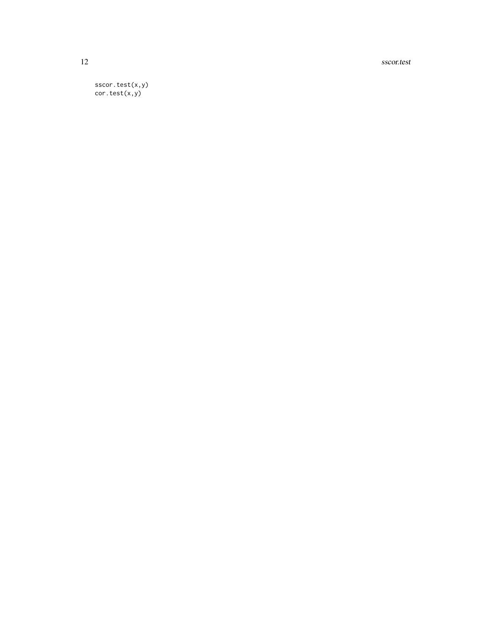12 sscor.test

sscor.test(x,y) cor.test(x,y)